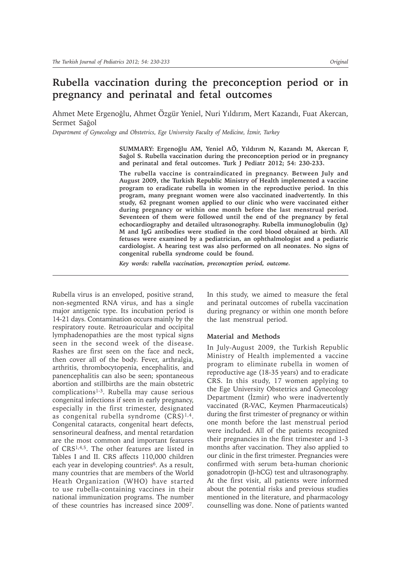# **Rubella vaccination during the preconception period or in pregnancy and perinatal and fetal outcomes**

Ahmet Mete Ergenoğlu, Ahmet Özgür Yeniel, Nuri Yıldırım, Mert Kazandı, Fuat Akercan, Sermet Sağol

*Department of Gynecology and Obstetrics, Ege University Faculty of Medicine, úzmir, Turkey*

**SUMMARY: Ergenoùlu AM, Yeniel AÖ, Yıldırım N, Kazandı M, Akercan F, Saùol S. Rubella vaccination during the preconception period or in pregnancy and perinatal and fetal outcomes. Turk J Pediatr 2012; 54: 230-233.**

**The rubella vaccine is contraindicated in pregnancy. Between July and August 2009, the Turkish Republic Ministry of Health implemented a vaccine program to eradicate rubella in women in the reproductive period. In this program, many pregnant women were also vaccinated inadvertently. In this study, 62 pregnant women applied to our clinic who were vaccinated either during pregnancy or within one month before the last menstrual period. Seventeen of them were followed until the end of the pregnancy by fetal echocardiography and detailed ultrasonography. Rubella immunoglobulin (Ig) M and IgG antibodies were studied in the cord blood obtained at birth. All fetuses were examined by a pediatrician, an ophthalmologist and a pediatric cardiologist. A hearing test was also performed on all neonates. No signs of congenital rubella syndrome could be found.**

*Key words: rubella vaccination, preconception period, outcome.*

Rubella virus is an enveloped, positive strand, non-segmented RNA virus, and has a single major antigenic type. Its incubation period is 14-21 days. Contamination occurs mainly by the respiratory route. Retroauricular and occipital lymphadenopathies are the most typical signs seen in the second week of the disease. Rashes are first seen on the face and neck, then cover all of the body. Fever, arthralgia, arthritis, thrombocytopenia, encephalitis, and panencephalitis can also be seen; spontaneous abortion and stillbirths are the main obstetric complications<sup>1-3</sup>. Rubella may cause serious congenital infections if seen in early pregnancy, especially in the first trimester, designated as congenital rubella syndrome  $(CRS)^{1,4}$ . Congenital cataracts, congenital heart defects, sensorineural deafness, and mental retardation are the most common and important features of CRS1,4,5. The other features are listed in Tables I and II. CRS affects 110,000 children each year in developing countries<sup>6</sup>. As a result, many countries that are members of the World Heath Organization (WHO) have started to use rubella-containing vaccines in their national immunization programs. The number of these countries has increased since 20097.

In this study, we aimed to measure the fetal and perinatal outcomes of rubella vaccination during pregnancy or within one month before the last menstrual period.

### **Material and Methods**

In July-August 2009, the Turkish Republic Ministry of Health implemented a vaccine program to eliminate rubella in women of reproductive age (18-35 years) and to eradicate CRS. In this study, 17 women applying to the Ege University Obstetrics and Gynecology Department (Izmir) who were inadvertently vaccinated (R-VAC, Keymen Pharmaceuticals) during the first trimester of pregnancy or within one month before the last menstrual period were included. All of the patients recognized their pregnancies in the first trimester and 1-3 months after vaccination. They also applied to our clinic in the first trimester. Pregnancies were confirmed with serum beta-human chorionic gonadotropin ( $\beta$ -hCG) test and ultrasonography. At the first visit, all patients were informed about the potential risks and previous studies mentioned in the literature, and pharmacology counselling was done. None of patients wanted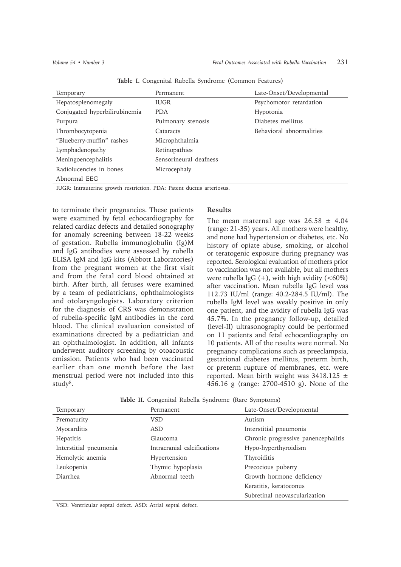| Temporary                     | Permanent              | Late-Onset/Developmental |
|-------------------------------|------------------------|--------------------------|
| Hepatosplenomegaly            | <b>IUGR</b>            | Psychomotor retardation  |
| Conjugated hyperbilirubinemia | <b>PDA</b>             | Hypotonia                |
| Purpura                       | Pulmonary stenosis     | Diabetes mellitus        |
| Thrombocytopenia              | Cataracts              | Behavioral abnormalities |
| "Blueberry-muffin" rashes     | Microphthalmia         |                          |
| Lymphadenopathy               | Retinopathies          |                          |
| Meningoencephalitis           | Sensorineural deafness |                          |
| Radiolucencies in bones       | Microcephaly           |                          |
| Abnormal EEG                  |                        |                          |
|                               | __ _ _                 |                          |

**Table I.** Congenital Rubella Syndrome (Common Features)

IUGR: Intrauterine growth restriction. PDA: Patent ductus arteriosus.

to terminate their pregnancies. These patients were examined by fetal echocardiography for related cardiac defects and detailed sonography for anomaly screening between 18-22 weeks of gestation. Rubella immunoglobulin (Ig)M and IgG antibodies were assessed by rubella ELISA IgM and IgG kits (Abbott Laboratories) from the pregnant women at the first visit and from the fetal cord blood obtained at birth. After birth, all fetuses were examined by a team of pediatricians, ophthalmologists and otolaryngologists. Laboratory criterion for the diagnosis of CRS was demonstration of rubella-specific IgM antibodies in the cord blood. The clinical evaluation consisted of examinations directed by a pediatrician and an ophthalmologist. In addition, all infants underwent auditory screening by otoacoustic emission. Patients who had been vaccinated earlier than one month before the last menstrual period were not included into this study<sup>8</sup>.

## **Results**

The mean maternal age was  $26.58 \pm 4.04$ (range: 21-35) years. All mothers were healthy, and none had hypertension or diabetes, etc. No history of opiate abuse, smoking, or alcohol or teratogenic exposure during pregnancy was reported. Serological evaluation of mothers prior to vaccination was not available, but all mothers were rubella IgG  $(+)$ , with high avidity  $(<60\%)$ after vaccination. Mean rubella IgG level was 112.73 IU/ml (range: 40.2-284.5 IU/ml). The rubella IgM level was weakly positive in only one patient, and the avidity of rubella IgG was 45.7%. In the pregnancy follow-up, detailed (level-II) ultrasonography could be performed on 11 patients and fetal echocardiography on 10 patients. All of the results were normal. No pregnancy complications such as preeclampsia, gestational diabetes mellitus, preterm birth, or preterm rupture of membranes, etc. were reported. Mean birth weight was  $3418.125 \pm$ 456.16 g (range: 2700-4510 g). None of the

|  | Table II. Congenital Rubella Syndrome (Rare Symptoms) |  |  |  |  |  |
|--|-------------------------------------------------------|--|--|--|--|--|
|--|-------------------------------------------------------|--|--|--|--|--|

| Temporary              | Permanent                   | Late-Onset/Developmental            |
|------------------------|-----------------------------|-------------------------------------|
| Prematurity            | <b>VSD</b>                  | Autism                              |
| Myocarditis            | <b>ASD</b>                  | Interstitial pneumonia              |
| Hepatitis              | Glaucoma                    | Chronic progressive panencephalitis |
| Interstitial pneumonia | Intracranial calcifications | Hypo-hyperthyroidism                |
| Hemolytic anemia       | Hypertension                | Thyroiditis                         |
| Leukopenia             | Thymic hypoplasia           | Precocious puberty                  |
| Diarrhea               | Abnormal teeth              | Growth hormone deficiency           |
|                        |                             | Keratitis, keratoconus              |
|                        |                             | Subretinal neovascularization       |

VSD: Ventricular septal defect. ASD: Atrial septal defect.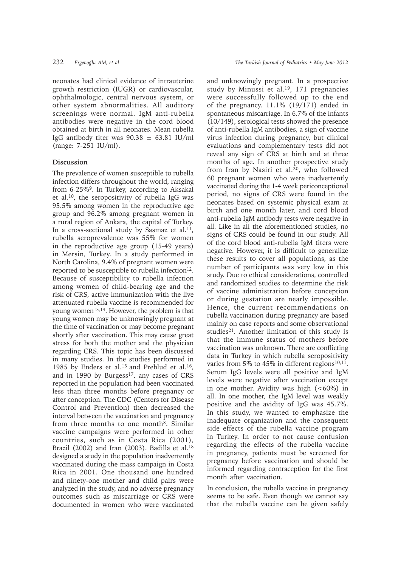neonates had clinical evidence of intrauterine growth restriction (IUGR) or cardiovascular, ophthalmologic, central nervous system, or other system abnormalities. All auditory screenings were normal. IgM anti-rubella antibodies were negative in the cord blood obtained at birth in all neonates. Mean rubella IgG antibody titer was  $90.38 \pm 63.81$  IU/ml (range: 7-251 IU/ml).

## **Discussion**

The prevalence of women susceptible to rubella infection differs throughout the world, ranging from 6-25%9. In Turkey, according to Aksakal et al.10, the seropositivity of rubella IgG was 95.5% among women in the reproductive age group and 96.2% among pregnant women in a rural region of Ankara, the capital of Turkey. In a cross-sectional study by Sasmaz et al.<sup>11</sup>, rubella seroprevalence was 55% for women in the reproductive age group (15-49 years) in Mersin, Turkey. In a study performed in North Carolina, 9.4% of pregnant women were reported to be susceptible to rubella infection<sup>12</sup>. Because of susceptibility to rubella infection among women of child-bearing age and the risk of CRS, active immunization with the live attenuated rubella vaccine is recommended for young women13,14. However, the problem is that young women may be unknowingly pregnant at the time of vaccination or may become pregnant shortly after vaccination. This may cause great stress for both the mother and the physician regarding CRS. This topic has been discussed in many studies. In the studies performed in 1985 by Enders et al.15 and Preblud et al.16, and in 1990 by Burgess<sup>17</sup>, any cases of CRS reported in the population had been vaccinated less than three months before pregnancy or after conception. The CDC (Centers for Disease Control and Prevention) then decreased the interval between the vaccination and pregnancy from three months to one month<sup>8</sup>. Similar vaccine campaigns were performed in other countries, such as in Costa Rica (2001), Brazil (2002) and Iran (2003). Badilla et al.<sup>18</sup> designed a study in the population inadvertently vaccinated during the mass campaign in Costa Rica in 2001. One thousand one hundred and ninety-one mother and child pairs were analyzed in the study, and no adverse pregnancy outcomes such as miscarriage or CRS were documented in women who were vaccinated

and unknowingly pregnant. In a prospective study by Minussi et al.<sup>19</sup>, 171 pregnancies were successfully followed up to the end of the pregnancy. 11.1% (19/171) ended in spontaneous miscarriage. In 6.7% of the infants (10/149), serological tests showed the presence of anti-rubella IgM antibodies, a sign of vaccine virus infection during pregnancy, but clinical evaluations and complementary tests did not reveal any sign of CRS at birth and at three months of age. In another prospective study from Iran by Nasiri et al.<sup>20</sup>, who followed 60 pregnant women who were inadvertently vaccinated during the 1-4 week periconceptional period, no signs of CRS were found in the neonates based on systemic physical exam at birth and one month later, and cord blood anti-rubella IgM antibody tests were negative in all. Like in all the aforementioned studies, no signs of CRS could be found in our study. All of the cord blood anti-rubella IgM titers were negative. However, it is difficult to generalize these results to cover all populations, as the number of participants was very low in this study. Due to ethical considerations, controlled and randomized studies to determine the risk of vaccine administration before conception or during gestation are nearly impossible. Hence, the current recommendations on rubella vaccination during pregnancy are based mainly on case reports and some observational studies21. Another limitation of this study is that the immune status of mothers before vaccination was unknown. There are conflicting data in Turkey in which rubella seropositivity varies from 5% to 45% in different regions<sup>10,11</sup>. Serum IgG levels were all positive and IgM levels were negative after vaccination except in one mother. Avidity was high  $(<60\%)$  in all. In one mother, the IgM level was weakly positive and the avidity of IgG was 45.7%. In this study, we wanted to emphasize the inadequate organization and the consequent side effects of the rubella vaccine program in Turkey. In order to not cause confusion regarding the effects of the rubella vaccine in pregnancy, patients must be screened for pregnancy before vaccination and should be informed regarding contraception for the first month after vaccination.

In conclusion, the rubella vaccine in pregnancy seems to be safe. Even though we cannot say that the rubella vaccine can be given safely